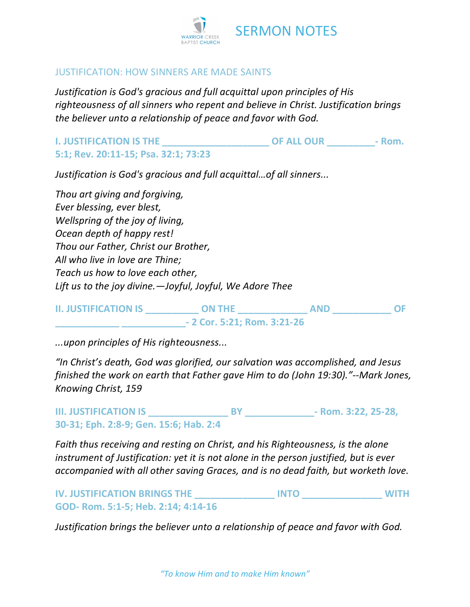

## SERMON NOTES

## JUSTIFICATION: HOW SINNERS ARE MADE SAINTS

*Justification is God's gracious and full acquittal upon principles of His righteousness of all sinners who repent and believe in Christ. Justification brings the believer unto a relationship of peace and favor with God.*

**I. JUSTIFICATION IS THE \_\_\_\_\_\_\_\_\_\_\_\_\_\_\_\_\_\_\_\_ OF ALL OUR \_\_\_\_\_\_\_\_\_- Rom. 5:1; Rev. 20:11-15; Psa. 32:1; 73:23**

*Justification is God's gracious and full acquittal…of all sinners...*

*Thou art giving and forgiving, Ever blessing, ever blest, Wellspring of the joy of living, Ocean depth of happy rest! Thou our Father, Christ our Brother, All who live in love are Thine; Teach us how to love each other, Lift us to the joy divine.—Joyful, Joyful, We Adore Thee*

| <b>II. JUSTIFICATION IS</b> | <b>ON THE</b>                | <b>AND</b> |  |
|-----------------------------|------------------------------|------------|--|
|                             | $-2$ Cor. 5:21; Rom. 3:21-26 |            |  |

*...upon principles of His righteousness...*

*"In Christ's death, God was glorified, our salvation was accomplished, and Jesus finished the work on earth that Father gave Him to do (John 19:30)."--Mark Jones, Knowing Christ, 159*

**III. JUSTIFICATION IS \_\_\_\_\_\_\_\_\_\_\_\_\_\_\_ BY \_\_\_\_\_\_\_\_\_\_\_\_\_- Rom. 3:22, 25-28, 30-31; Eph. 2:8-9; Gen. 15:6; Hab. 2:4**

*Faith thus receiving and resting on Christ, and his Righteousness, is the alone instrument of Justification: yet it is not alone in the person justified, but is ever accompanied with all other saving Graces, and is no dead faith, but worketh love.*

## **IV. JUSTIFICATION BRINGS THE \_\_\_\_\_\_\_\_\_\_\_\_\_\_\_ INTO \_\_\_\_\_\_\_\_\_\_\_\_\_\_\_ WITH GOD- Rom. 5:1-5; Heb. 2:14; 4:14-16**

*Justification brings the believer unto a relationship of peace and favor with God.*